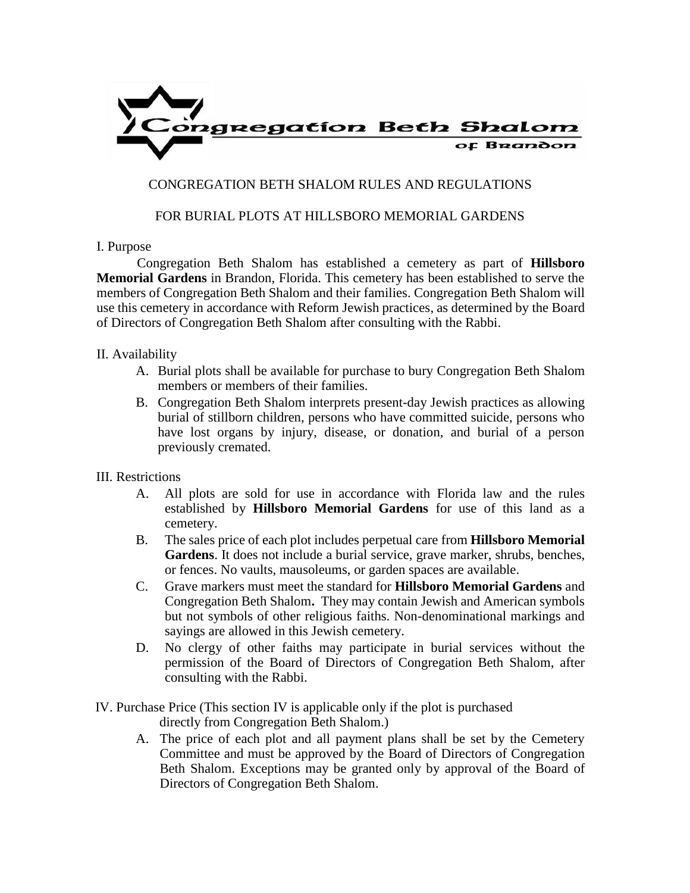

## CONGREGATION BETH SHALOM RULES AND REGULATIONS

## FOR BURIAL PLOTS AT HILLSBORO MEMORIAL GARDENS

## I. Purpose

Congregation Beth Shalom has established a cemetery as part of **Hillsboro Memorial Gardens** in Brandon, Florida. This cemetery has been established to serve the members of Congregation Beth Shalom and their families. Congregation Beth Shalom will use this cemetery in accordance with Reform Jewish practices, as determined by the Board of Directors of Congregation Beth Shalom after consulting with the Rabbi.

## II. Availability

- A. Burial plots shall be available for purchase to bury Congregation Beth Shalom members or members of their families.
- B. Congregation Beth Shalom interprets present-day Jewish practices as allowing burial of stillborn children, persons who have committed suicide, persons who have lost organs by injury, disease, or donation, and burial of a person previously cremated.
- III. Restrictions
	- A. All plots are sold for use in accordance with Florida law and the rules established by **Hillsboro Memorial Gardens** for use of this land as a cemetery.
	- B. The sales price of each plot includes perpetual care from **Hillsboro Memorial Gardens**. It does not include a burial service, grave marker, shrubs, benches, or fences. No vaults, mausoleums, or garden spaces are available.
	- C. Grave markers must meet the standard for **Hillsboro Memorial Gardens** and Congregation Beth Shalom**.** They may contain Jewish and American symbols but not symbols of other religious faiths. Non-denominational markings and sayings are allowed in this Jewish cemetery.
	- D. No clergy of other faiths may participate in burial services without the permission of the Board of Directors of Congregation Beth Shalom, after consulting with the Rabbi.
- IV. Purchase Price (This section IV is applicable only if the plot is purchased directly from Congregation Beth Shalom.)
	- A. The price of each plot and all payment plans shall be set by the Cemetery Committee and must be approved by the Board of Directors of Congregation Beth Shalom. Exceptions may be granted only by approval of the Board of Directors of Congregation Beth Shalom.